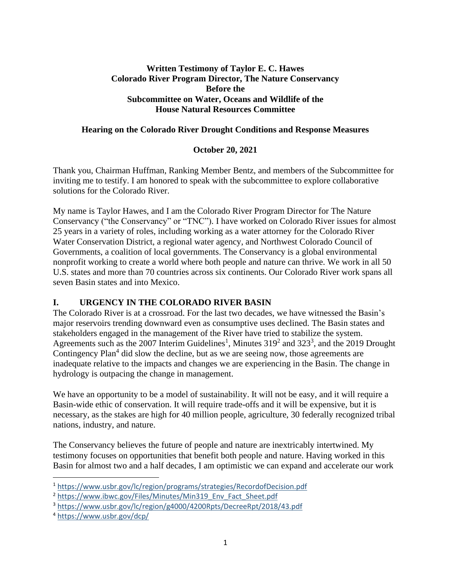## **Written Testimony of Taylor E. C. Hawes Colorado River Program Director, The Nature Conservancy Before the Subcommittee on Water, Oceans and Wildlife of the House Natural Resources Committee**

### **Hearing on the Colorado River Drought Conditions and Response Measures**

### **October 20, 2021**

Thank you, Chairman Huffman, Ranking Member Bentz, and members of the Subcommittee for inviting me to testify. I am honored to speak with the subcommittee to explore collaborative solutions for the Colorado River.

My name is Taylor Hawes, and I am the Colorado River Program Director for The Nature Conservancy ("the Conservancy" or "TNC"). I have worked on Colorado River issues for almost 25 years in a variety of roles, including working as a water attorney for the Colorado River Water Conservation District, a regional water agency, and Northwest Colorado Council of Governments, a coalition of local governments. The Conservancy is a global environmental nonprofit working to create a world where both people and nature can thrive. We work in all 50 U.S. states and more than 70 countries across six continents. Our Colorado River work spans all seven Basin states and into Mexico.

### **I. URGENCY IN THE COLORADO RIVER BASIN**

The Colorado River is at a crossroad. For the last two decades, we have witnessed the Basin's major reservoirs trending downward even as consumptive uses declined. The Basin states and stakeholders engaged in the management of the River have tried to stabilize the system. Agreements such as the 2007 Interim Guidelines<sup>1</sup>, Minutes  $319^2$  and  $323^3$ , and the 2019 Drought Contingency Plan<sup>4</sup> did slow the decline, but as we are seeing now, those agreements are inadequate relative to the impacts and changes we are experiencing in the Basin. The change in hydrology is outpacing the change in management.

We have an opportunity to be a model of sustainability. It will not be easy, and it will require a Basin-wide ethic of conservation. It will require trade-offs and it will be expensive, but it is necessary, as the stakes are high for 40 million people, agriculture, 30 federally recognized tribal nations, industry, and nature.

The Conservancy believes the future of people and nature are inextricably intertwined. My testimony focuses on opportunities that benefit both people and nature. Having worked in this Basin for almost two and a half decades, I am optimistic we can expand and accelerate our work

<sup>1</sup> <https://www.usbr.gov/lc/region/programs/strategies/RecordofDecision.pdf>

<sup>&</sup>lt;sup>2</sup> [https://www.ibwc.gov/Files/Minutes/Min319\\_Env\\_Fact\\_Sheet.pdf](https://www.ibwc.gov/Files/Minutes/Min319_Env_Fact_Sheet.pdf)

<sup>3</sup> <https://www.usbr.gov/lc/region/g4000/4200Rpts/DecreeRpt/2018/43.pdf>

<sup>4</sup> <https://www.usbr.gov/dcp/>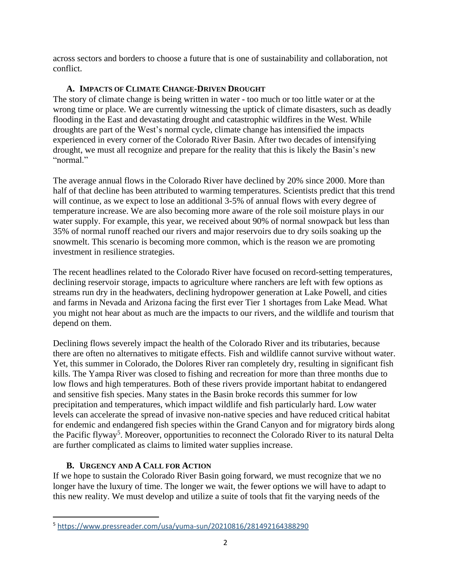across sectors and borders to choose a future that is one of sustainability and collaboration, not conflict.

# **A. IMPACTS OF CLIMATE CHANGE-DRIVEN DROUGHT**

The story of climate change is being written in water - too much or too little water or at the wrong time or place. We are currently witnessing the uptick of climate disasters, such as deadly flooding in the East and devastating drought and catastrophic wildfires in the West. While droughts are part of the West's normal cycle, climate change has intensified the impacts experienced in every corner of the Colorado River Basin. After two decades of intensifying drought, we must all recognize and prepare for the reality that this is likely the Basin's new "normal"

The average annual flows in the Colorado River have declined by 20% since 2000. More than half of that decline has been attributed to warming temperatures. Scientists predict that this trend will continue, as we expect to lose an additional 3-5% of annual flows with every degree of temperature increase. We are also becoming more aware of the role soil moisture plays in our water supply. For example, this year, we received about 90% of normal snowpack but less than 35% of normal runoff reached our rivers and major reservoirs due to dry soils soaking up the snowmelt. This scenario is becoming more common, which is the reason we are promoting investment in resilience strategies.

The recent headlines related to the Colorado River have focused on record-setting temperatures, declining reservoir storage, impacts to agriculture where ranchers are left with few options as streams run dry in the headwaters, declining hydropower generation at Lake Powell, and cities and farms in Nevada and Arizona facing the first ever Tier 1 shortages from Lake Mead. What you might not hear about as much are the impacts to our rivers, and the wildlife and tourism that depend on them.

Declining flows severely impact the health of the Colorado River and its tributaries, because there are often no alternatives to mitigate effects. Fish and wildlife cannot survive without water. Yet, this summer in Colorado, the Dolores River ran completely dry, resulting in significant fish kills. The Yampa River was closed to fishing and recreation for more than three months due to low flows and high temperatures. Both of these rivers provide important habitat to endangered and sensitive fish species. Many states in the Basin broke records this summer for low precipitation and temperatures, which impact wildlife and fish particularly hard. Low water levels can accelerate the spread of invasive non-native species and have reduced critical habitat for endemic and endangered fish species within the Grand Canyon and for migratory birds along the Pacific flyway<sup>5</sup>. Moreover, opportunities to reconnect the Colorado River to its natural Delta are further complicated as claims to limited water supplies increase.

### **B. URGENCY AND A CALL FOR ACTION**

If we hope to sustain the Colorado River Basin going forward, we must recognize that we no longer have the luxury of time. The longer we wait, the fewer options we will have to adapt to this new reality. We must develop and utilize a suite of tools that fit the varying needs of the

<sup>5</sup> [https://www.pressreader.com/usa/yuma-sun/20210816/281492164388290](https://protect-us.mimecast.com/s/QNdPCZ6Gg4c0PLO0szj899?domain=pressreader.com)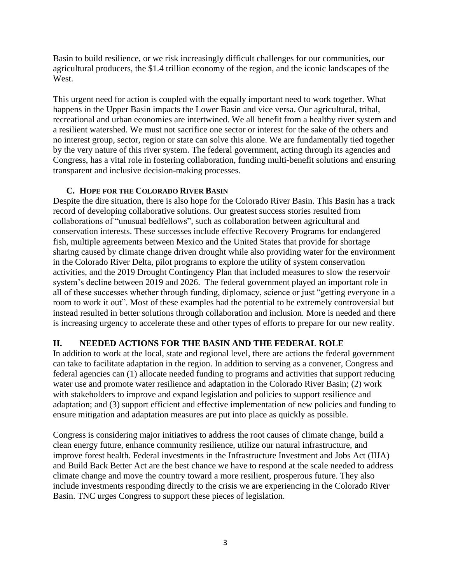Basin to build resilience, or we risk increasingly difficult challenges for our communities, our agricultural producers, the \$1.4 trillion economy of the region, and the iconic landscapes of the West.

This urgent need for action is coupled with the equally important need to work together. What happens in the Upper Basin impacts the Lower Basin and vice versa. Our agricultural, tribal, recreational and urban economies are intertwined. We all benefit from a healthy river system and a resilient watershed. We must not sacrifice one sector or interest for the sake of the others and no interest group, sector, region or state can solve this alone. We are fundamentally tied together by the very nature of this river system. The federal government, acting through its agencies and Congress, has a vital role in fostering collaboration, funding multi-benefit solutions and ensuring transparent and inclusive decision-making processes.

### **C. HOPE FOR THE COLORADO RIVER BASIN**

Despite the dire situation, there is also hope for the Colorado River Basin. This Basin has a track record of developing collaborative solutions. Our greatest success stories resulted from collaborations of "unusual bedfellows", such as collaboration between agricultural and conservation interests. These successes include effective Recovery Programs for endangered fish, multiple agreements between Mexico and the United States that provide for shortage sharing caused by climate change driven drought while also providing water for the environment in the Colorado River Delta, pilot programs to explore the utility of system conservation activities, and the 2019 Drought Contingency Plan that included measures to slow the reservoir system's decline between 2019 and 2026. The federal government played an important role in all of these successes whether through funding, diplomacy, science or just "getting everyone in a room to work it out". Most of these examples had the potential to be extremely controversial but instead resulted in better solutions through collaboration and inclusion. More is needed and there is increasing urgency to accelerate these and other types of efforts to prepare for our new reality.

### **II. NEEDED ACTIONS FOR THE BASIN AND THE FEDERAL ROLE**

In addition to work at the local, state and regional level, there are actions the federal government can take to facilitate adaptation in the region. In addition to serving as a convener, Congress and federal agencies can (1) allocate needed funding to programs and activities that support reducing water use and promote water resilience and adaptation in the Colorado River Basin; (2) work with stakeholders to improve and expand legislation and policies to support resilience and adaptation; and (3) support efficient and effective implementation of new policies and funding to ensure mitigation and adaptation measures are put into place as quickly as possible.

Congress is considering major initiatives to address the root causes of climate change, build a clean energy future, enhance community resilience, utilize our natural infrastructure, and improve forest health. Federal investments in the Infrastructure Investment and Jobs Act (IIJA) and Build Back Better Act are the best chance we have to respond at the scale needed to address climate change and move the country toward a more resilient, prosperous future. They also include investments responding directly to the crisis we are experiencing in the Colorado River Basin. TNC urges Congress to support these pieces of legislation.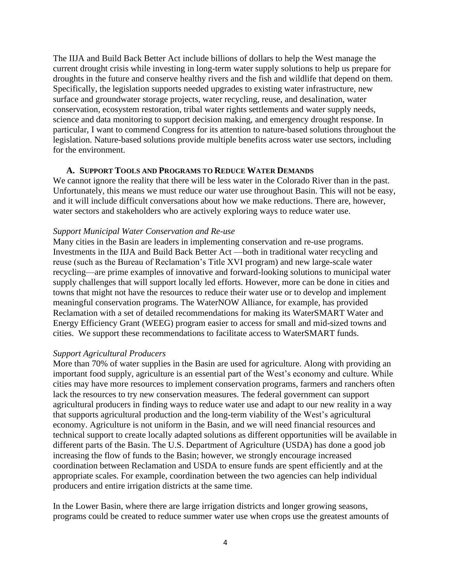The IIJA and Build Back Better Act include billions of dollars to help the West manage the current drought crisis while investing in long-term water supply solutions to help us prepare for droughts in the future and conserve healthy rivers and the fish and wildlife that depend on them. Specifically, the legislation supports needed upgrades to existing water infrastructure, new surface and groundwater storage projects, water recycling, reuse, and desalination, water conservation, ecosystem restoration, tribal water rights settlements and water supply needs, science and data monitoring to support decision making, and emergency drought response. In particular, I want to commend Congress for its attention to nature-based solutions throughout the legislation. Nature-based solutions provide multiple benefits across water use sectors, including for the environment.

#### **A. SUPPORT TOOLS AND PROGRAMS TO REDUCE WATER DEMANDS**

We cannot ignore the reality that there will be less water in the Colorado River than in the past. Unfortunately, this means we must reduce our water use throughout Basin. This will not be easy, and it will include difficult conversations about how we make reductions. There are, however, water sectors and stakeholders who are actively exploring ways to reduce water use.

#### *Support Municipal Water Conservation and Re-use*

Many cities in the Basin are leaders in implementing conservation and re-use programs. Investments in the IIJA and Build Back Better Act —both in traditional water recycling and reuse (such as the Bureau of Reclamation's Title XVI program) and new large-scale water recycling—are prime examples of innovative and forward-looking solutions to municipal water supply challenges that will support locally led efforts. However, more can be done in cities and towns that might not have the resources to reduce their water use or to develop and implement meaningful conservation programs. The WaterNOW Alliance, for example, has provided Reclamation with a set of detailed recommendations for making its WaterSMART Water and Energy Efficiency Grant (WEEG) program easier to access for small and mid-sized towns and cities. We support these recommendations to facilitate access to WaterSMART funds.

#### *Support Agricultural Producers*

More than 70% of water supplies in the Basin are used for agriculture. Along with providing an important food supply, agriculture is an essential part of the West's economy and culture. While cities may have more resources to implement conservation programs, farmers and ranchers often lack the resources to try new conservation measures. The federal government can support agricultural producers in finding ways to reduce water use and adapt to our new reality in a way that supports agricultural production and the long-term viability of the West's agricultural economy. Agriculture is not uniform in the Basin, and we will need financial resources and technical support to create locally adapted solutions as different opportunities will be available in different parts of the Basin. The U.S. Department of Agriculture (USDA) has done a good job increasing the flow of funds to the Basin; however, we strongly encourage increased coordination between Reclamation and USDA to ensure funds are spent efficiently and at the appropriate scales. For example, coordination between the two agencies can help individual producers and entire irrigation districts at the same time.

In the Lower Basin, where there are large irrigation districts and longer growing seasons, programs could be created to reduce summer water use when crops use the greatest amounts of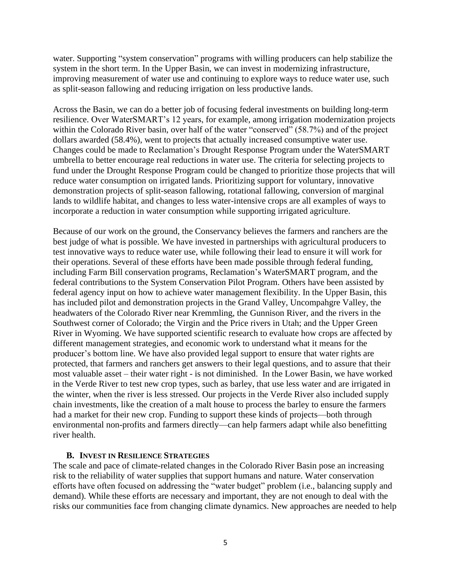water. Supporting "system conservation" programs with willing producers can help stabilize the system in the short term. In the Upper Basin, we can invest in modernizing infrastructure, improving measurement of water use and continuing to explore ways to reduce water use, such as split-season fallowing and reducing irrigation on less productive lands.

Across the Basin, we can do a better job of focusing federal investments on building long-term resilience. Over WaterSMART's 12 years, for example, among irrigation modernization projects within the Colorado River basin, over half of the water "conserved" (58.7%) and of the project dollars awarded (58.4%), went to projects that actually increased consumptive water use. Changes could be made to Reclamation's Drought Response Program under the WaterSMART umbrella to better encourage real reductions in water use. The criteria for selecting projects to fund under the Drought Response Program could be changed to prioritize those projects that will reduce water consumption on irrigated lands. Prioritizing support for voluntary, innovative demonstration projects of split-season fallowing, rotational fallowing, conversion of marginal lands to wildlife habitat, and changes to less water-intensive crops are all examples of ways to incorporate a reduction in water consumption while supporting irrigated agriculture.

Because of our work on the ground, the Conservancy believes the farmers and ranchers are the best judge of what is possible. We have invested in partnerships with agricultural producers to test innovative ways to reduce water use, while following their lead to ensure it will work for their operations. Several of these efforts have been made possible through federal funding, including Farm Bill conservation programs, Reclamation's WaterSMART program, and the federal contributions to the System Conservation Pilot Program. Others have been assisted by federal agency input on how to achieve water management flexibility. In the Upper Basin, this has included pilot and demonstration projects in the Grand Valley, Uncompahgre Valley, the headwaters of the Colorado River near Kremmling, the Gunnison River, and the rivers in the Southwest corner of Colorado; the Virgin and the Price rivers in Utah; and the Upper Green River in Wyoming. We have supported scientific research to evaluate how crops are affected by different management strategies, and economic work to understand what it means for the producer's bottom line. We have also provided legal support to ensure that water rights are protected, that farmers and ranchers get answers to their legal questions, and to assure that their most valuable asset – their water right - is not diminished. In the Lower Basin, we have worked in the Verde River to test new crop types, such as barley, that use less water and are irrigated in the winter, when the river is less stressed. Our projects in the Verde River also included supply chain investments, like the creation of a malt house to process the barley to ensure the farmers had a market for their new crop. Funding to support these kinds of projects—both through environmental non-profits and farmers directly—can help farmers adapt while also benefitting river health.

#### **B. INVEST IN RESILIENCE STRATEGIES**

The scale and pace of climate-related changes in the Colorado River Basin pose an increasing risk to the reliability of water supplies that support humans and nature. Water conservation efforts have often focused on addressing the "water budget" problem (i.e., balancing supply and demand). While these efforts are necessary and important, they are not enough to deal with the risks our communities face from changing climate dynamics. New approaches are needed to help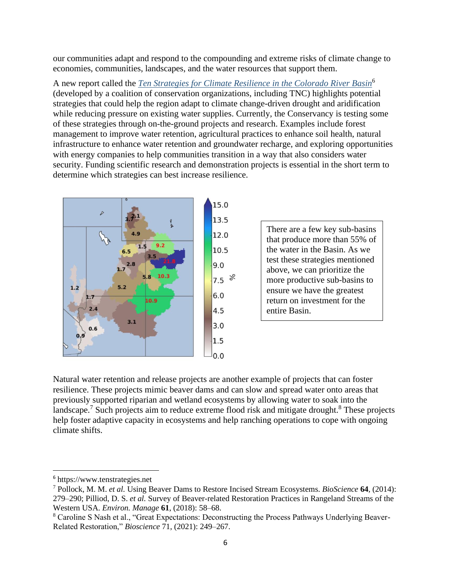our communities adapt and respond to the compounding and extreme risks of climate change to economies, communities, landscapes, and the water resources that support them.

A new report called the *[Ten Strategies for Climate Resilience in the Colorado River Basin](https://www.tenstrategies.net/)*<sup>6</sup>  (developed by a coalition of conservation organizations, including TNC) highlights potential strategies that could help the region adapt to climate change-driven drought and aridification while reducing pressure on existing water supplies. Currently, the Conservancy is testing some of these strategies through on-the-ground projects and research. Examples include forest management to improve water retention, agricultural practices to enhance soil health, natural infrastructure to enhance water retention and groundwater recharge, and exploring opportunities with energy companies to help communities transition in a way that also considers water security. Funding scientific research and demonstration projects is essential in the short term to determine which strategies can best increase resilience.



There are a few key sub-basins that produce more than 55% of the water in the Basin. As we test these strategies mentioned above, we can prioritize the more productive sub-basins to ensure we have the greatest return on investment for the entire Basin.

Natural water retention and release projects are another example of projects that can foster resilience. These projects mimic beaver dams and can slow and spread water onto areas that previously supported riparian and wetland ecosystems by allowing water to soak into the landscape.<sup>7</sup> Such projects aim to reduce extreme flood risk and mitigate drought.<sup>8</sup> These projects help foster adaptive capacity in ecosystems and help ranching operations to cope with ongoing climate shifts.

<sup>6</sup> https://www.tenstrategies.net

<sup>7</sup> Pollock, M. M. *et al.* Using Beaver Dams to Restore Incised Stream Ecosystems. *BioScience* **64**, (2014): 279–290; Pilliod, D. S. *et al.* Survey of Beaver-related Restoration Practices in Rangeland Streams of the Western USA. *Environ. Manage* **61**, (2018): 58–68.

<sup>8</sup> Caroline S Nash et al., "Great Expectations: Deconstructing the Process Pathways Underlying Beaver-Related Restoration," *Bioscience* 71, (2021): 249–267.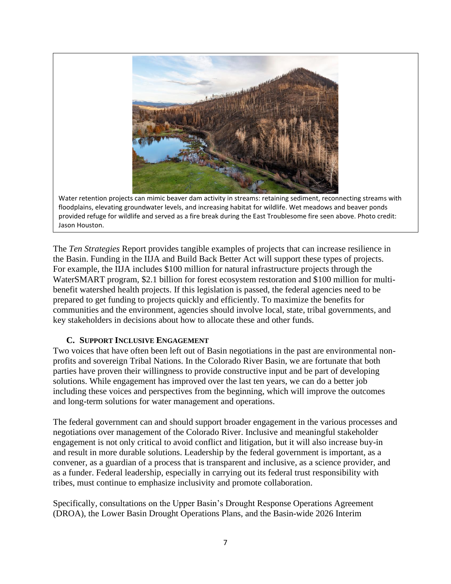

Water retention projects can mimic beaver dam activity in streams: retaining sediment, reconnecting streams with floodplains, elevating groundwater levels, and increasing habitat for wildlife. Wet meadows and beaver ponds provided refuge for wildlife and served as a fire break during the East Troublesome fire seen above. Photo credit: Jason Houston.

The *Ten Strategies* Report provides tangible examples of projects that can increase resilience in the Basin. Funding in the IIJA and Build Back Better Act will support these types of projects. For example, the IIJA includes \$100 million for natural infrastructure projects through the WaterSMART program, \$2.1 billion for forest ecosystem restoration and \$100 million for multibenefit watershed health projects. If this legislation is passed, the federal agencies need to be prepared to get funding to projects quickly and efficiently. To maximize the benefits for communities and the environment, agencies should involve local, state, tribal governments, and key stakeholders in decisions about how to allocate these and other funds.

### **C. SUPPORT INCLUSIVE ENGAGEMENT**

Two voices that have often been left out of Basin negotiations in the past are environmental nonprofits and sovereign Tribal Nations. In the Colorado River Basin, we are fortunate that both parties have proven their willingness to provide constructive input and be part of developing solutions. While engagement has improved over the last ten years, we can do a better job including these voices and perspectives from the beginning, which will improve the outcomes and long-term solutions for water management and operations.

The federal government can and should support broader engagement in the various processes and negotiations over management of the Colorado River. Inclusive and meaningful stakeholder engagement is not only critical to avoid conflict and litigation, but it will also increase buy-in and result in more durable solutions. Leadership by the federal government is important, as a convener, as a guardian of a process that is transparent and inclusive, as a science provider, and as a funder. Federal leadership, especially in carrying out its federal trust responsibility with tribes, must continue to emphasize inclusivity and promote collaboration.

Specifically, consultations on the Upper Basin's Drought Response Operations Agreement (DROA), the Lower Basin Drought Operations Plans, and the Basin-wide 2026 Interim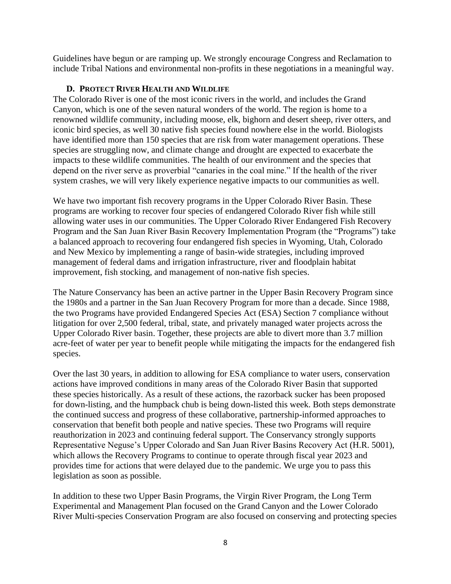Guidelines have begun or are ramping up. We strongly encourage Congress and Reclamation to include Tribal Nations and environmental non-profits in these negotiations in a meaningful way.

#### **D. PROTECT RIVER HEALTH AND WILDLIFE**

The Colorado River is one of the most iconic rivers in the world, and includes the Grand Canyon, which is one of the seven natural wonders of the world. The region is home to a renowned wildlife community, including moose, elk, bighorn and desert sheep, river otters, and iconic bird species, as well 30 native fish species found nowhere else in the world. Biologists have identified more than 150 species that are risk from water management operations. These species are struggling now, and climate change and drought are expected to exacerbate the impacts to these wildlife communities. The health of our environment and the species that depend on the river serve as proverbial "canaries in the coal mine." If the health of the river system crashes, we will very likely experience negative impacts to our communities as well.

We have two important fish recovery programs in the Upper Colorado River Basin. These programs are working to recover four species of endangered Colorado River fish while still allowing water uses in our communities. The Upper Colorado River Endangered Fish Recovery Program and the San Juan River Basin Recovery Implementation Program (the "Programs") take a balanced approach to recovering four endangered fish species in Wyoming, Utah, Colorado and New Mexico by implementing a range of basin-wide strategies, including improved management of federal dams and irrigation infrastructure, river and floodplain habitat improvement, fish stocking, and management of non-native fish species.

The Nature Conservancy has been an active partner in the Upper Basin Recovery Program since the 1980s and a partner in the San Juan Recovery Program for more than a decade. Since 1988, the two Programs have provided Endangered Species Act (ESA) Section 7 compliance without litigation for over 2,500 federal, tribal, state, and privately managed water projects across the Upper Colorado River basin. Together, these projects are able to divert more than 3.7 million acre-feet of water per year to benefit people while mitigating the impacts for the endangered fish species.

Over the last 30 years, in addition to allowing for ESA compliance to water users, conservation actions have improved conditions in many areas of the Colorado River Basin that supported these species historically. As a result of these actions, the razorback sucker has been proposed for down-listing, and the humpback chub is being down-listed this week. Both steps demonstrate the continued success and progress of these collaborative, partnership-informed approaches to conservation that benefit both people and native species. These two Programs will require reauthorization in 2023 and continuing federal support. The Conservancy strongly supports Representative Neguse's Upper Colorado and San Juan River Basins Recovery Act (H.R. 5001), which allows the Recovery Programs to continue to operate through fiscal year 2023 and provides time for actions that were delayed due to the pandemic. We urge you to pass this legislation as soon as possible.

In addition to these two Upper Basin Programs, the Virgin River Program, the Long Term Experimental and Management Plan focused on the Grand Canyon and the Lower Colorado River Multi-species Conservation Program are also focused on conserving and protecting species